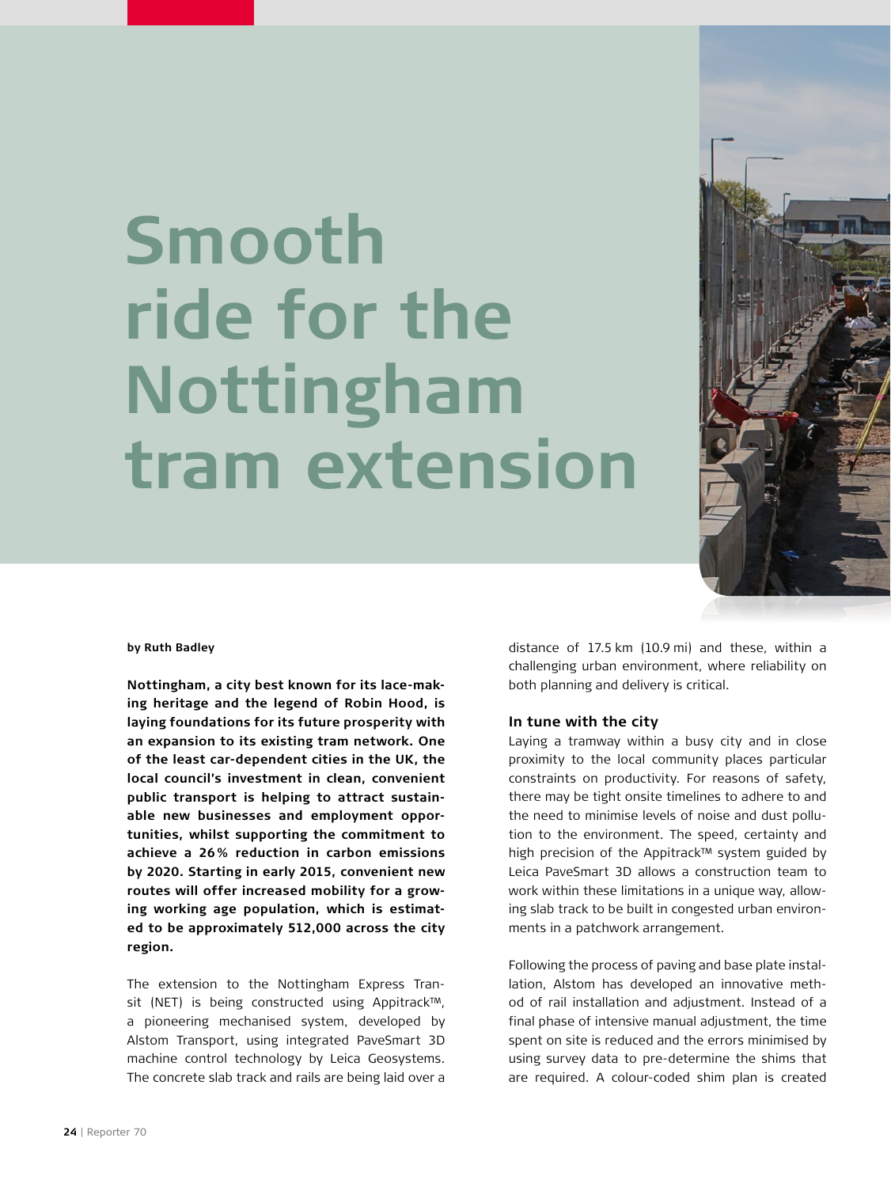# **Smooth ride for the Nottingham tram extension**



#### **by Ruth Badley**

**Nottingham, a city best known for its lace-making heritage and the legend of Robin Hood, is laying foundations for its future prosperity with an expansion to its existing tram network. One of the least car-dependent cities in the UK, the local council's investment in clean, convenient public transport is helping to attract sustainable new businesses and employment opportunities, whilst supporting the commitment to achieve a 26% reduction in carbon emissions by 2020. Starting in early 2015, convenient new routes will offer increased mobility for a growing working age population, which is estimated to be approximately 512,000 across the city region.** 

The extension to the Nottingham Express Transit (NET) is being constructed using Appitrack™, a pioneering mechanised system, developed by Alstom Transport, using integrated PaveSmart 3D machine control technology by Leica Geosystems. The concrete slab track and rails are being laid over a

distance of 17.5 km (10.9 mi) and these, within a challenging urban environment, where reliability on both planning and delivery is critical.

#### **In tune with the city**

Laying a tramway within a busy city and in close proximity to the local community places particular constraints on productivity. For reasons of safety, there may be tight onsite timelines to adhere to and the need to minimise levels of noise and dust pollution to the environment. The speed, certainty and high precision of the Appitrack™ system guided by Leica PaveSmart 3D allows a construction team to work within these limitations in a unique way, allowing slab track to be built in congested urban environments in a patchwork arrangement.

Following the process of paving and base plate installation, Alstom has developed an innovative method of rail installation and adjustment. Instead of a final phase of intensive manual adjustment, the time spent on site is reduced and the errors minimised by using survey data to pre-determine the shims that are required. A colour-coded shim plan is created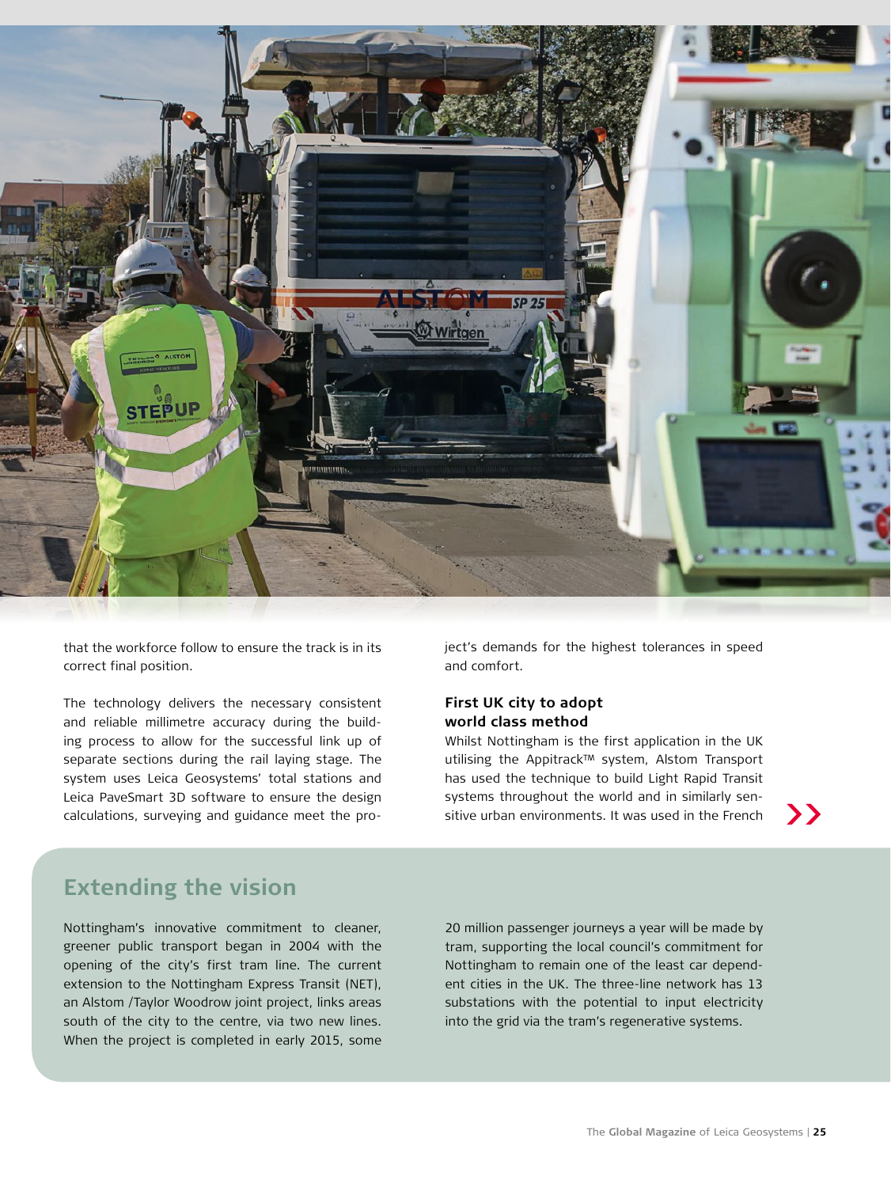

that the workforce follow to ensure the track is in its correct final position.

The technology delivers the necessary consistent and reliable millimetre accuracy during the building process to allow for the successful link up of separate sections during the rail laying stage. The system uses Leica Geosystems' total stations and Leica PaveSmart 3D software to ensure the design

ject's demands for the highest tolerances in speed and comfort.

### **First UK city to adopt world class method**

Whilst Nottingham is the first application in the UK utilising the Appitrack™ system, Alstom Transport has used the technique to build Light Rapid Transit systems throughout the world and in similarly sensitive urban environments. It was used in the French calculations, surveying and guidance meet the pro-<br>**Solutions** is tive urban environments. It was used in the French

## **Extending the vision**

Nottingham's innovative commitment to cleaner, greener public transport began in 2004 with the opening of the city's first tram line. The current extension to the Nottingham Express Transit (NET), an Alstom /Taylor Woodrow joint project, links areas south of the city to the centre, via two new lines. When the project is completed in early 2015, some

20 million passenger journeys a year will be made by tram, supporting the local council's commitment for Nottingham to remain one of the least car dependent cities in the UK. The three-line network has 13 substations with the potential to input electricity into the grid via the tram's regenerative systems.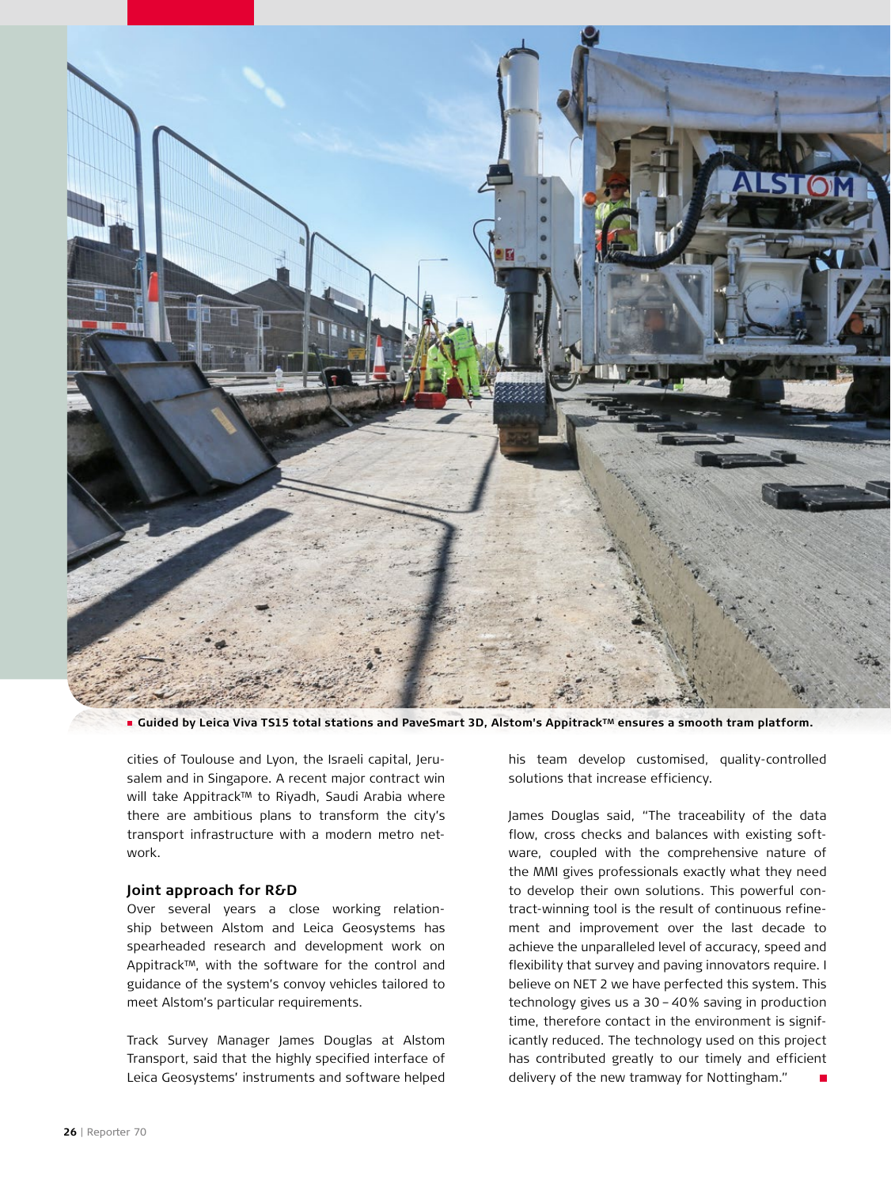

■ Guided by Leica Viva TS15 total stations and PaveSmart 3D, Alstom's Appitrack™ ensures a smooth tram platform.

cities of Toulouse and Lyon, the Israeli capital, Jerusalem and in Singapore. A recent major contract win will take Appitrack™ to Riyadh, Saudi Arabia where there are ambitious plans to transform the city's transport infrastructure with a modern metro network.

## **Joint approach for R&D**

Over several years a close working relationship between Alstom and Leica Geosystems has spearheaded research and development work on Appitrack™, with the software for the control and guidance of the system's convoy vehicles tailored to meet Alstom's particular requirements.

Track Survey Manager James Douglas at Alstom Transport, said that the highly specified interface of Leica Geosystems' instruments and software helped his team develop customised, quality-controlled solutions that increase efficiency.

James Douglas said, "The traceability of the data flow, cross checks and balances with existing software, coupled with the comprehensive nature of the MMI gives professionals exactly what they need to develop their own solutions. This powerful contract-winning tool is the result of continuous refinement and improvement over the last decade to achieve the unparalleled level of accuracy, speed and flexibility that survey and paving innovators require. I believe on NET 2 we have perfected this system. This technology gives us a 30 - 40% saving in production time, therefore contact in the environment is significantly reduced. The technology used on this project has contributed greatly to our timely and efficient delivery of the new tramway for Nottingham."